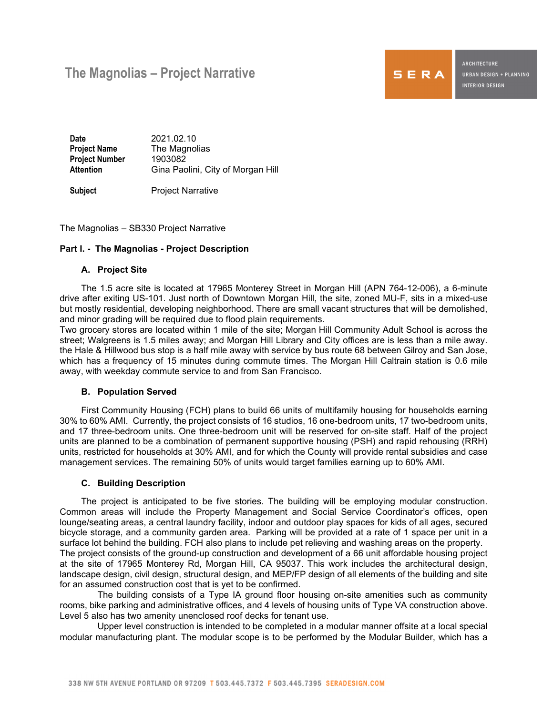# **The Magnolias – Project Narrative**



**ARCHITECTURE** URBAN DESIGN + PLANNING **INTERIOR DESIGN** 

**Date** 2021.02.10<br>**Project Name** The Magnol **The Magnolias Project Number** 1903082 Attention **Gina Paolini, City of Morgan Hill** 

**Subject** Project Narrative

The Magnolias – SB330 Project Narrative

# **Part I. - The Magnolias - Project Description**

#### **A. Project Site**

The 1.5 acre site is located at 17965 Monterey Street in Morgan Hill (APN 764-12-006), a 6-minute drive after exiting US-101. Just north of Downtown Morgan Hill, the site, zoned MU-F, sits in a mixed-use but mostly residential, developing neighborhood. There are small vacant structures that will be demolished, and minor grading will be required due to flood plain requirements.

Two grocery stores are located within 1 mile of the site; Morgan Hill Community Adult School is across the street; Walgreens is 1.5 miles away; and Morgan Hill Library and City offices are is less than a mile away. the Hale & Hillwood bus stop is a half mile away with service by bus route 68 between Gilroy and San Jose, which has a frequency of 15 minutes during commute times. The Morgan Hill Caltrain station is 0.6 mile away, with weekday commute service to and from San Francisco.

# **B. Population Served**

First Community Housing (FCH) plans to build 66 units of multifamily housing for households earning 30% to 60% AMI. Currently, the project consists of 16 studios, 16 one-bedroom units, 17 two-bedroom units, and 17 three-bedroom units. One three-bedroom unit will be reserved for on-site staff. Half of the project units are planned to be a combination of permanent supportive housing (PSH) and rapid rehousing (RRH) units, restricted for households at 30% AMI, and for which the County will provide rental subsidies and case management services. The remaining 50% of units would target families earning up to 60% AMI.

# **C. Building Description**

The project is anticipated to be five stories. The building will be employing modular construction. Common areas will include the Property Management and Social Service Coordinator's offices, open lounge/seating areas, a central laundry facility, indoor and outdoor play spaces for kids of all ages, secured bicycle storage, and a community garden area. Parking will be provided at a rate of 1 space per unit in a surface lot behind the building. FCH also plans to include pet relieving and washing areas on the property. The project consists of the ground-up construction and development of a 66 unit affordable housing project at the site of 17965 Monterey Rd, Morgan Hill, CA 95037. This work includes the architectural design, landscape design, civil design, structural design, and MEP/FP design of all elements of the building and site for an assumed construction cost that is yet to be confirmed.

The building consists of a Type IA ground floor housing on-site amenities such as community rooms, bike parking and administrative offices, and 4 levels of housing units of Type VA construction above. Level 5 also has two amenity unenclosed roof decks for tenant use.

Upper level construction is intended to be completed in a modular manner offsite at a local special modular manufacturing plant. The modular scope is to be performed by the Modular Builder, which has a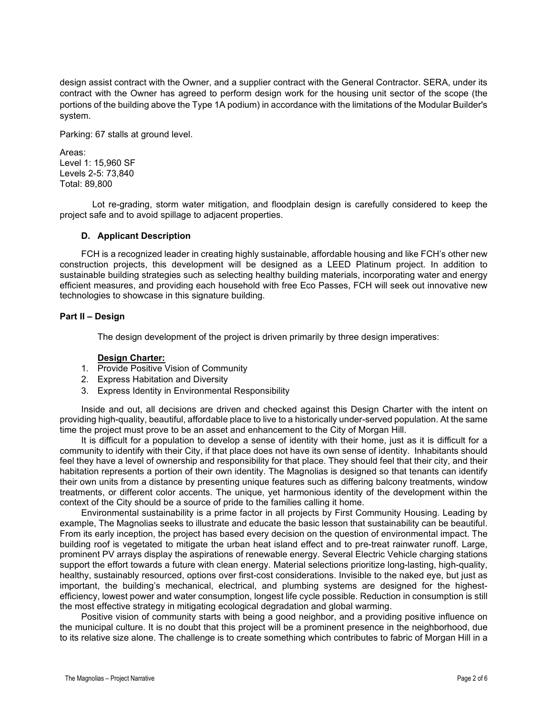design assist contract with the Owner, and a supplier contract with the General Contractor. SERA, under its contract with the Owner has agreed to perform design work for the housing unit sector of the scope (the portions of the building above the Type 1A podium) in accordance with the limitations of the Modular Builder's system.

Parking: 67 stalls at ground level.

Areas: Level 1: 15,960 SF Levels 2-5: 73,840 Total: 89,800

Lot re-grading, storm water mitigation, and floodplain design is carefully considered to keep the project safe and to avoid spillage to adjacent properties.

#### **D. Applicant Description**

FCH is a recognized leader in creating highly sustainable, affordable housing and like FCH's other new construction projects, this development will be designed as a LEED Platinum project. In addition to sustainable building strategies such as selecting healthy building materials, incorporating water and energy efficient measures, and providing each household with free Eco Passes, FCH will seek out innovative new technologies to showcase in this signature building.

#### **Part II – Design**

The design development of the project is driven primarily by three design imperatives:

### **Design Charter:**

- 1. Provide Positive Vision of Community
- 2. Express Habitation and Diversity
- 3. Express Identity in Environmental Responsibility

Inside and out, all decisions are driven and checked against this Design Charter with the intent on providing high-quality, beautiful, affordable place to live to a historically under-served population. At the same time the project must prove to be an asset and enhancement to the City of Morgan Hill.

It is difficult for a population to develop a sense of identity with their home, just as it is difficult for a community to identify with their City, if that place does not have its own sense of identity. Inhabitants should feel they have a level of ownership and responsibility for that place. They should feel that their city, and their habitation represents a portion of their own identity. The Magnolias is designed so that tenants can identify their own units from a distance by presenting unique features such as differing balcony treatments, window treatments, or different color accents. The unique, yet harmonious identity of the development within the context of the City should be a source of pride to the families calling it home.

Environmental sustainability is a prime factor in all projects by First Community Housing. Leading by example, The Magnolias seeks to illustrate and educate the basic lesson that sustainability can be beautiful. From its early inception, the project has based every decision on the question of environmental impact. The building roof is vegetated to mitigate the urban heat island effect and to pre-treat rainwater runoff. Large, prominent PV arrays display the aspirations of renewable energy. Several Electric Vehicle charging stations support the effort towards a future with clean energy. Material selections prioritize long-lasting, high-quality, healthy, sustainably resourced, options over first-cost considerations. Invisible to the naked eye, but just as important, the building's mechanical, electrical, and plumbing systems are designed for the highestefficiency, lowest power and water consumption, longest life cycle possible. Reduction in consumption is still the most effective strategy in mitigating ecological degradation and global warming.

Positive vision of community starts with being a good neighbor, and a providing positive influence on the municipal culture. It is no doubt that this project will be a prominent presence in the neighborhood, due to its relative size alone. The challenge is to create something which contributes to fabric of Morgan Hill in a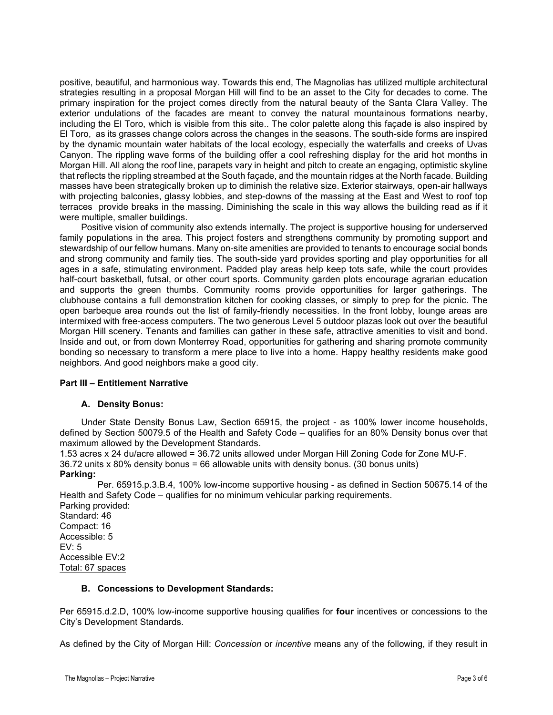positive, beautiful, and harmonious way. Towards this end, The Magnolias has utilized multiple architectural strategies resulting in a proposal Morgan Hill will find to be an asset to the City for decades to come. The primary inspiration for the project comes directly from the natural beauty of the Santa Clara Valley. The exterior undulations of the facades are meant to convey the natural mountainous formations nearby, including the El Toro, which is visible from this site.. The color palette along this façade is also inspired by El Toro, as its grasses change colors across the changes in the seasons. The south-side forms are inspired by the dynamic mountain water habitats of the local ecology, especially the waterfalls and creeks of Uvas Canyon. The rippling wave forms of the building offer a cool refreshing display for the arid hot months in Morgan Hill. All along the roof line, parapets vary in height and pitch to create an engaging, optimistic skyline that reflects the rippling streambed at the South façade, and the mountain ridges at the North facade. Building masses have been strategically broken up to diminish the relative size. Exterior stairways, open-air hallways with projecting balconies, glassy lobbies, and step-downs of the massing at the East and West to roof top terraces provide breaks in the massing. Diminishing the scale in this way allows the building read as if it were multiple, smaller buildings.

Positive vision of community also extends internally. The project is supportive housing for underserved family populations in the area. This project fosters and strengthens community by promoting support and stewardship of our fellow humans. Many on-site amenities are provided to tenants to encourage social bonds and strong community and family ties. The south-side yard provides sporting and play opportunities for all ages in a safe, stimulating environment. Padded play areas help keep tots safe, while the court provides half-court basketball, futsal, or other court sports. Community garden plots encourage agrarian education and supports the green thumbs. Community rooms provide opportunities for larger gatherings. The clubhouse contains a full demonstration kitchen for cooking classes, or simply to prep for the picnic. The open barbeque area rounds out the list of family-friendly necessities. In the front lobby, lounge areas are intermixed with free-access computers. The two generous Level 5 outdoor plazas look out over the beautiful Morgan Hill scenery. Tenants and families can gather in these safe, attractive amenities to visit and bond. Inside and out, or from down Monterrey Road, opportunities for gathering and sharing promote community bonding so necessary to transform a mere place to live into a home. Happy healthy residents make good neighbors. And good neighbors make a good city.

# **Part III – Entitlement Narrative**

# **A. Density Bonus:**

Under State Density Bonus Law, Section 65915, the project - as 100% lower income households, defined by Section 50079.5 of the Health and Safety Code – qualifies for an 80% Density bonus over that maximum allowed by the Development Standards.

1.53 acres x 24 du/acre allowed = 36.72 units allowed under Morgan Hill Zoning Code for Zone MU-F. 36.72 units x 80% density bonus = 66 allowable units with density bonus. (30 bonus units) **Parking:** 

Per. 65915.p.3.B.4, 100% low-income supportive housing - as defined in Section 50675.14 of the Health and Safety Code – qualifies for no minimum vehicular parking requirements.

Parking provided: Standard: 46 Compact: 16 Accessible: 5  $FV: 5$ Accessible EV:2 Total: 67 spaces

#### **B. Concessions to Development Standards:**

Per 65915.d.2.D, 100% low-income supportive housing qualifies for **four** incentives or concessions to the City's Development Standards.

As defined by the City of Morgan Hill: *Concession* or *incentive* means any of the following, if they result in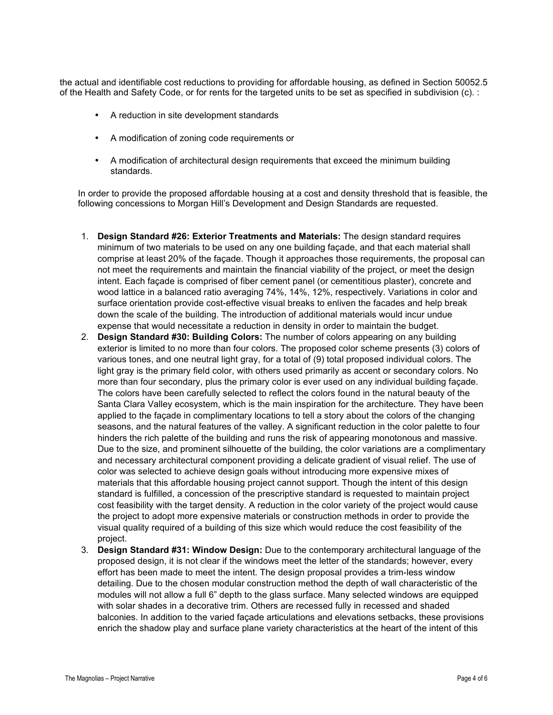the actual and identifiable cost reductions to providing for affordable housing, as defined in Section 50052.5 of the Health and Safety Code, or for rents for the targeted units to be set as specified in subdivision (c). :

- A reduction in site development standards
- A modification of zoning code requirements or
- A modification of architectural design requirements that exceed the minimum building standards.

In order to provide the proposed affordable housing at a cost and density threshold that is feasible, the following concessions to Morgan Hill's Development and Design Standards are requested.

- 1. **Design Standard #26: Exterior Treatments and Materials:** The design standard requires minimum of two materials to be used on any one building façade, and that each material shall comprise at least 20% of the façade. Though it approaches those requirements, the proposal can not meet the requirements and maintain the financial viability of the project, or meet the design intent. Each façade is comprised of fiber cement panel (or cementitious plaster), concrete and wood lattice in a balanced ratio averaging 74%, 14%, 12%, respectively. Variations in color and surface orientation provide cost-effective visual breaks to enliven the facades and help break down the scale of the building. The introduction of additional materials would incur undue expense that would necessitate a reduction in density in order to maintain the budget.
- 2. **Design Standard #30: Building Colors:** The number of colors appearing on any building exterior is limited to no more than four colors. The proposed color scheme presents (3) colors of various tones, and one neutral light gray, for a total of (9) total proposed individual colors. The light gray is the primary field color, with others used primarily as accent or secondary colors. No more than four secondary, plus the primary color is ever used on any individual building façade. The colors have been carefully selected to reflect the colors found in the natural beauty of the Santa Clara Valley ecosystem, which is the main inspiration for the architecture. They have been applied to the façade in complimentary locations to tell a story about the colors of the changing seasons, and the natural features of the valley. A significant reduction in the color palette to four hinders the rich palette of the building and runs the risk of appearing monotonous and massive. Due to the size, and prominent silhouette of the building, the color variations are a complimentary and necessary architectural component providing a delicate gradient of visual relief. The use of color was selected to achieve design goals without introducing more expensive mixes of materials that this affordable housing project cannot support. Though the intent of this design standard is fulfilled, a concession of the prescriptive standard is requested to maintain project cost feasibility with the target density. A reduction in the color variety of the project would cause the project to adopt more expensive materials or construction methods in order to provide the visual quality required of a building of this size which would reduce the cost feasibility of the project.
- 3. **Design Standard #31: Window Design:** Due to the contemporary architectural language of the proposed design, it is not clear if the windows meet the letter of the standards; however, every effort has been made to meet the intent. The design proposal provides a trim-less window detailing. Due to the chosen modular construction method the depth of wall characteristic of the modules will not allow a full 6" depth to the glass surface. Many selected windows are equipped with solar shades in a decorative trim. Others are recessed fully in recessed and shaded balconies. In addition to the varied façade articulations and elevations setbacks, these provisions enrich the shadow play and surface plane variety characteristics at the heart of the intent of this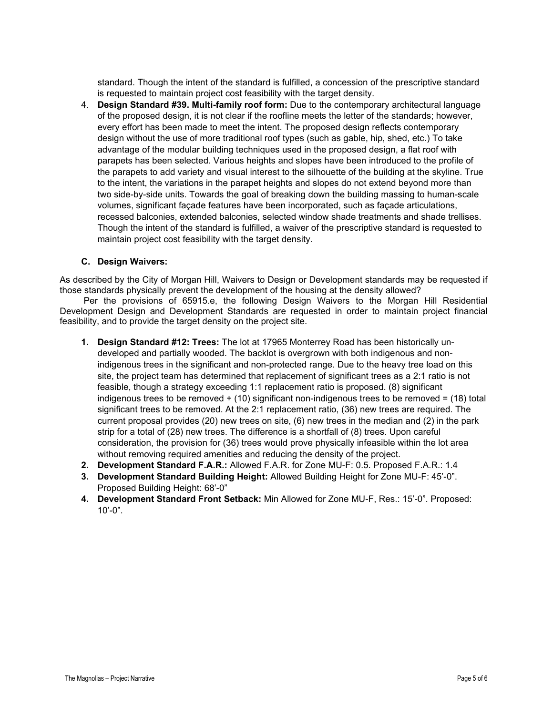standard. Though the intent of the standard is fulfilled, a concession of the prescriptive standard is requested to maintain project cost feasibility with the target density.

4. **Design Standard #39. Multi-family roof form:** Due to the contemporary architectural language of the proposed design, it is not clear if the roofline meets the letter of the standards; however, every effort has been made to meet the intent. The proposed design reflects contemporary design without the use of more traditional roof types (such as gable, hip, shed, etc.) To take advantage of the modular building techniques used in the proposed design, a flat roof with parapets has been selected. Various heights and slopes have been introduced to the profile of the parapets to add variety and visual interest to the silhouette of the building at the skyline. True to the intent, the variations in the parapet heights and slopes do not extend beyond more than two side-by-side units. Towards the goal of breaking down the building massing to human-scale volumes, significant façade features have been incorporated, such as façade articulations, recessed balconies, extended balconies, selected window shade treatments and shade trellises. Though the intent of the standard is fulfilled, a waiver of the prescriptive standard is requested to maintain project cost feasibility with the target density.

# **C. Design Waivers:**

As described by the City of Morgan Hill, Waivers to Design or Development standards may be requested if those standards physically prevent the development of the housing at the density allowed?

 Per the provisions of 65915.e, the following Design Waivers to the Morgan Hill Residential Development Design and Development Standards are requested in order to maintain project financial feasibility, and to provide the target density on the project site.

- **1. Design Standard #12: Trees:** The lot at 17965 Monterrey Road has been historically undeveloped and partially wooded. The backlot is overgrown with both indigenous and nonindigenous trees in the significant and non-protected range. Due to the heavy tree load on this site, the project team has determined that replacement of significant trees as a 2:1 ratio is not feasible, though a strategy exceeding 1:1 replacement ratio is proposed. (8) significant indigenous trees to be removed + (10) significant non-indigenous trees to be removed = (18) total significant trees to be removed. At the 2:1 replacement ratio, (36) new trees are required. The current proposal provides (20) new trees on site, (6) new trees in the median and (2) in the park strip for a total of (28) new trees. The difference is a shortfall of (8) trees. Upon careful consideration, the provision for (36) trees would prove physically infeasible within the lot area without removing required amenities and reducing the density of the project.
- **2. Development Standard F.A.R.:** Allowed F.A.R. for Zone MU-F: 0.5. Proposed F.A.R.: 1.4
- **3. Development Standard Building Height:** Allowed Building Height for Zone MU-F: 45'-0". Proposed Building Height: 68'-0"
- **4. Development Standard Front Setback:** Min Allowed for Zone MU-F, Res.: 15'-0". Proposed:  $10' - 0$ ".